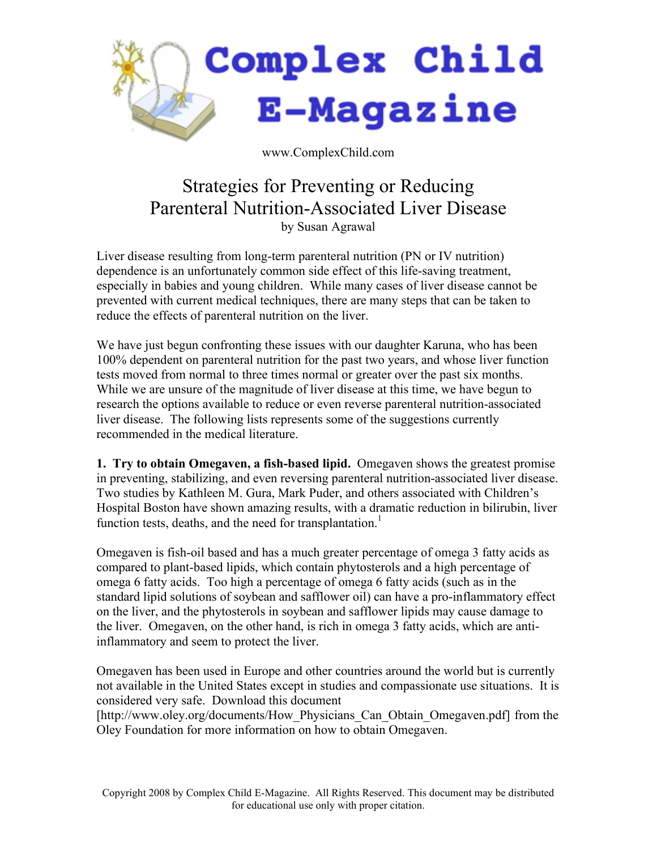

www.ComplexChild.com

# Strategies for Preventing or Reducing Parenteral Nutrition-Associated Liver Disease by Susan Agrawal

Liver disease resulting from long-term parenteral nutrition (PN or IV nutrition) dependence is an unfortunately common side effect of this life-saving treatment, especially in babies and young children. While many cases of liver disease cannot be prevented with current medical techniques, there are many steps that can be taken to reduce the effects of parenteral nutrition on the liver.

We have just begun confronting these issues with our daughter Karuna, who has been 100% dependent on parenteral nutrition for the past two years, and whose liver function tests moved from normal to three times normal or greater over the past six months. While we are unsure of the magnitude of liver disease at this time, we have begun to research the options available to reduce or even reverse parenteral nutrition-associated liver disease. The following lists represents some of the suggestions currently recommended in the medical literature.

**1. Try to obtain Omegaven, a fish-based lipid.** Omegaven shows the greatest promise in preventing, stabilizing, and even reversing parenteral nutrition-associated liver disease. Two studies by Kathleen M. Gura, Mark Puder, and others associated with Children's Hospital Boston have shown amazing results, with a dramatic reduction in bilirubin, liver function tests, deaths, and the need for transplantation.<sup>1</sup>

Omegaven is fish-oil based and has a much greater percentage of omega 3 fatty acids as compared to plant-based lipids, which contain phytosterols and a high percentage of omega 6 fatty acids. Too high a percentage of omega 6 fatty acids (such as in the standard lipid solutions of soybean and safflower oil) can have a pro-inflammatory effect on the liver, and the phytosterols in soybean and safflower lipids may cause damage to the liver. Omegaven, on the other hand, is rich in omega 3 fatty acids, which are antiinflammatory and seem to protect the liver.

Omegaven has been used in Europe and other countries around the world but is currently not available in the United States except in studies and compassionate use situations. It is considered very safe. Download this document

[http://www.oley.org/documents/How\_Physicians\_Can\_Obtain\_Omegaven.pdf] from the Oley Foundation for more information on how to obtain Omegaven.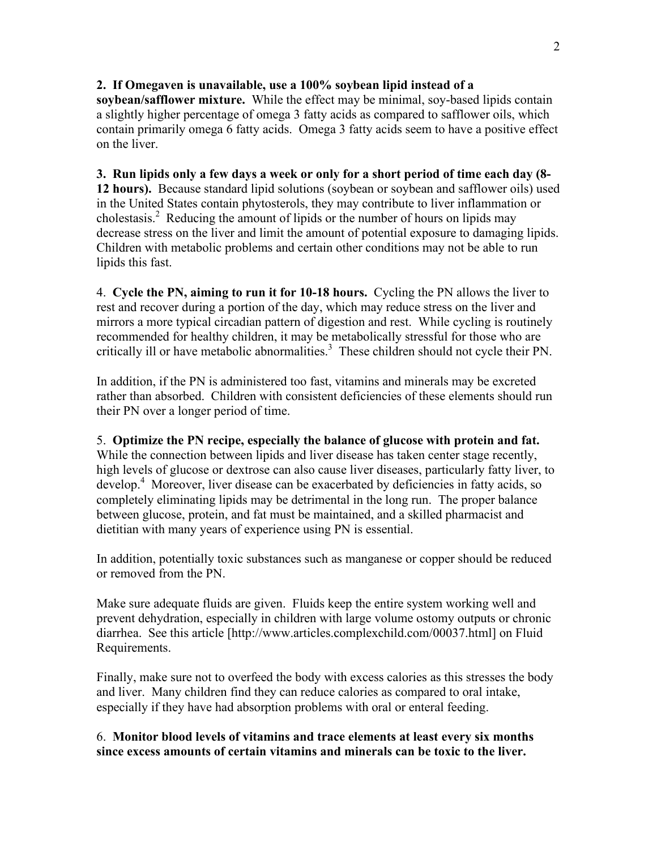## **2. If Omegaven is unavailable, use a 100% soybean lipid instead of a**

**soybean/safflower mixture.** While the effect may be minimal, soy-based lipids contain a slightly higher percentage of omega 3 fatty acids as compared to safflower oils, which contain primarily omega 6 fatty acids. Omega 3 fatty acids seem to have a positive effect on the liver.

## **3. Run lipids only a few days a week or only for a short period of time each day (8-**

**12 hours).** Because standard lipid solutions (soybean or soybean and safflower oils) used in the United States contain phytosterols, they may contribute to liver inflammation or cholestasis. 2 Reducing the amount of lipids or the number of hours on lipids may decrease stress on the liver and limit the amount of potential exposure to damaging lipids. Children with metabolic problems and certain other conditions may not be able to run lipids this fast.

4. **Cycle the PN, aiming to run it for 10-18 hours.** Cycling the PN allows the liver to rest and recover during a portion of the day, which may reduce stress on the liver and mirrors a more typical circadian pattern of digestion and rest. While cycling is routinely recommended for healthy children, it may be metabolically stressful for those who are critically ill or have metabolic abnormalities. 3 These children should not cycle their PN.

In addition, if the PN is administered too fast, vitamins and minerals may be excreted rather than absorbed. Children with consistent deficiencies of these elements should run their PN over a longer period of time.

#### 5. **Optimize the PN recipe, especially the balance of glucose with protein and fat.**

While the connection between lipids and liver disease has taken center stage recently, high levels of glucose or dextrose can also cause liver diseases, particularly fatty liver, to develop. 4 Moreover, liver disease can be exacerbated by deficiencies in fatty acids, so completely eliminating lipids may be detrimental in the long run. The proper balance between glucose, protein, and fat must be maintained, and a skilled pharmacist and dietitian with many years of experience using PN is essential.

In addition, potentially toxic substances such as manganese or copper should be reduced or removed from the PN.

Make sure adequate fluids are given. Fluids keep the entire system working well and prevent dehydration, especially in children with large volume ostomy outputs or chronic diarrhea. See this article [http://www.articles.complexchild.com/00037.html] on Fluid Requirements.

Finally, make sure not to overfeed the body with excess calories as this stresses the body and liver. Many children find they can reduce calories as compared to oral intake, especially if they have had absorption problems with oral or enteral feeding.

## 6. **Monitor blood levels of vitamins and trace elements at least every six months since excess amounts of certain vitamins and minerals can be toxic to the liver.**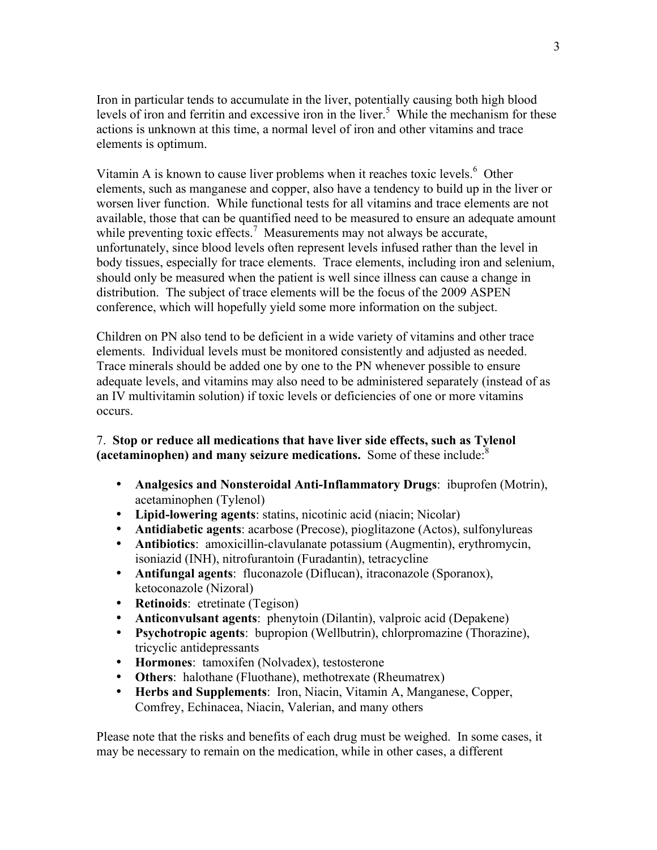Iron in particular tends to accumulate in the liver, potentially causing both high blood levels of iron and ferritin and excessive iron in the liver. 5 While the mechanism for these actions is unknown at this time, a normal level of iron and other vitamins and trace elements is optimum.

Vitamin A is known to cause liver problems when it reaches toxic levels.<sup>6</sup> Other elements, such as manganese and copper, also have a tendency to build up in the liver or worsen liver function. While functional tests for all vitamins and trace elements are not available, those that can be quantified need to be measured to ensure an adequate amount while preventing toxic effects.<sup>7</sup> Measurements may not always be accurate, unfortunately, since blood levels often represent levels infused rather than the level in body tissues, especially for trace elements. Trace elements, including iron and selenium, should only be measured when the patient is well since illness can cause a change in distribution. The subject of trace elements will be the focus of the 2009 ASPEN conference, which will hopefully yield some more information on the subject.

Children on PN also tend to be deficient in a wide variety of vitamins and other trace elements. Individual levels must be monitored consistently and adjusted as needed. Trace minerals should be added one by one to the PN whenever possible to ensure adequate levels, and vitamins may also need to be administered separately (instead of as an IV multivitamin solution) if toxic levels or deficiencies of one or more vitamins occurs.

# 7. **Stop or reduce all medications that have liver side effects, such as Tylenol (acetaminophen) and many seizure medications.** Some of these include: 8

- **Analgesics and Nonsteroidal Anti-Inflammatory Drugs**: ibuprofen (Motrin), acetaminophen (Tylenol)
- **Lipid-lowering agents**: statins, nicotinic acid (niacin; Nicolar)
- **Antidiabetic agents**: acarbose (Precose), pioglitazone (Actos), sulfonylureas
- **Antibiotics**: amoxicillin-clavulanate potassium (Augmentin), erythromycin, isoniazid (INH), nitrofurantoin (Furadantin), tetracycline
- **Antifungal agents**: fluconazole (Diflucan), itraconazole (Sporanox), ketoconazole (Nizoral)
- **Retinoids**: etretinate (Tegison)
- **Anticonvulsant agents**: phenytoin (Dilantin), valproic acid (Depakene)
- **Psychotropic agents**: bupropion (Wellbutrin), chlorpromazine (Thorazine), tricyclic antidepressants
- **Hormones**: tamoxifen (Nolvadex), testosterone
- **Others**: halothane (Fluothane), methotrexate (Rheumatrex)
- **Herbs and Supplements**: Iron, Niacin, Vitamin A, Manganese, Copper, Comfrey, Echinacea, Niacin, Valerian, and many others

Please note that the risks and benefits of each drug must be weighed. In some cases, it may be necessary to remain on the medication, while in other cases, a different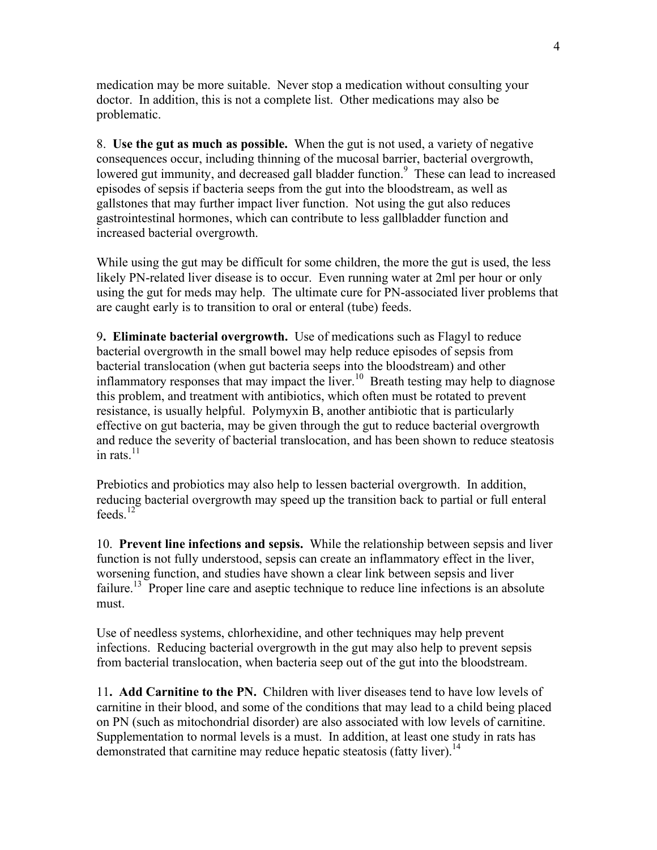medication may be more suitable. Never stop a medication without consulting your doctor. In addition, this is not a complete list. Other medications may also be problematic.

8. **Use the gut as much as possible.** When the gut is not used, a variety of negative consequences occur, including thinning of the mucosal barrier, bacterial overgrowth, lowered gut immunity, and decreased gall bladder function.<sup>9</sup> These can lead to increased episodes of sepsis if bacteria seeps from the gut into the bloodstream, as well as gallstones that may further impact liver function. Not using the gut also reduces gastrointestinal hormones, which can contribute to less gallbladder function and increased bacterial overgrowth.

While using the gut may be difficult for some children, the more the gut is used, the less likely PN-related liver disease is to occur. Even running water at 2ml per hour or only using the gut for meds may help. The ultimate cure for PN-associated liver problems that are caught early is to transition to oral or enteral (tube) feeds.

9**. Eliminate bacterial overgrowth.** Use of medications such as Flagyl to reduce bacterial overgrowth in the small bowel may help reduce episodes of sepsis from bacterial translocation (when gut bacteria seeps into the bloodstream) and other inflammatory responses that may impact the liver.<sup>10</sup> Breath testing may help to diagnose this problem, and treatment with antibiotics, which often must be rotated to prevent resistance, is usually helpful. Polymyxin B, another antibiotic that is particularly effective on gut bacteria, may be given through the gut to reduce bacterial overgrowth and reduce the severity of bacterial translocation, and has been shown to reduce steatosis in rats. $11$ 

Prebiotics and probiotics may also help to lessen bacterial overgrowth. In addition, reducing bacterial overgrowth may speed up the transition back to partial or full enteral feeds. 12

10. **Prevent line infections and sepsis.** While the relationship between sepsis and liver function is not fully understood, sepsis can create an inflammatory effect in the liver, worsening function, and studies have shown a clear link between sepsis and liver failure.<sup>13</sup> Proper line care and aseptic technique to reduce line infections is an absolute must.

Use of needless systems, chlorhexidine, and other techniques may help prevent infections. Reducing bacterial overgrowth in the gut may also help to prevent sepsis from bacterial translocation, when bacteria seep out of the gut into the bloodstream.

11**. Add Carnitine to the PN.** Children with liver diseases tend to have low levels of carnitine in their blood, and some of the conditions that may lead to a child being placed on PN (such as mitochondrial disorder) are also associated with low levels of carnitine. Supplementation to normal levels is a must. In addition, at least one study in rats has demonstrated that carnitine may reduce hepatic steatosis (fatty liver).<sup>14</sup>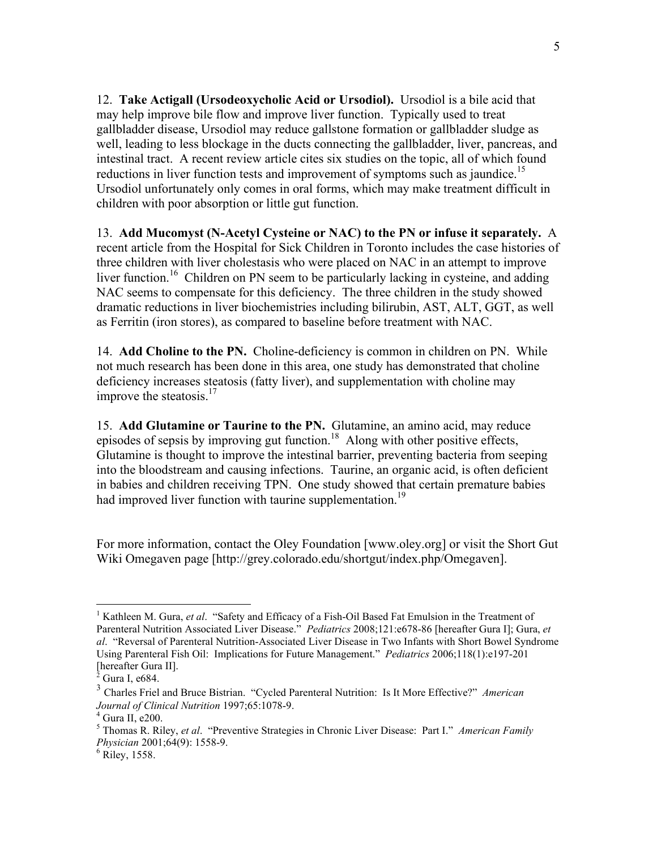12. **Take Actigall (Ursodeoxycholic Acid or Ursodiol).** Ursodiol is a bile acid that may help improve bile flow and improve liver function. Typically used to treat gallbladder disease, Ursodiol may reduce gallstone formation or gallbladder sludge as well, leading to less blockage in the ducts connecting the gallbladder, liver, pancreas, and intestinal tract. A recent review article cites six studies on the topic, all of which found reductions in liver function tests and improvement of symptoms such as jaundice.<sup>15</sup> Ursodiol unfortunately only comes in oral forms, which may make treatment difficult in children with poor absorption or little gut function.

13. **Add Mucomyst (N-Acetyl Cysteine or NAC) to the PN or infuse it separately.** A recent article from the Hospital for Sick Children in Toronto includes the case histories of three children with liver cholestasis who were placed on NAC in an attempt to improve liver function.<sup>16</sup> Children on PN seem to be particularly lacking in cysteine, and adding NAC seems to compensate for this deficiency. The three children in the study showed dramatic reductions in liver biochemistries including bilirubin, AST, ALT, GGT, as well as Ferritin (iron stores), as compared to baseline before treatment with NAC.

14. **Add Choline to the PN.** Choline-deficiency is common in children on PN. While not much research has been done in this area, one study has demonstrated that choline deficiency increases steatosis (fatty liver), and supplementation with choline may improve the steatosis.<sup>17</sup>

15. **Add Glutamine or Taurine to the PN.** Glutamine, an amino acid, may reduce episodes of sepsis by improving gut function.<sup>18</sup> Along with other positive effects, Glutamine is thought to improve the intestinal barrier, preventing bacteria from seeping into the bloodstream and causing infections. Taurine, an organic acid, is often deficient in babies and children receiving TPN. One study showed that certain premature babies had improved liver function with taurine supplementation.<sup>19</sup>

For more information, contact the Oley Foundation [www.oley.org] or visit the Short Gut Wiki Omegaven page [http://grey.colorado.edu/shortgut/index.php/Omegaven].

 <sup>1</sup> Kathleen M. Gura, *et al*. "Safety and Efficacy of <sup>a</sup> Fish-Oil Based Fat Emulsion in the Treatment of Parenteral Nutrition Associated Liver Disease." *Pediatrics* 2008;121:e678-86 [hereafter Gura I]; Gura, *et al*. "Reversal of Parenteral Nutrition-Associated Liver Disease in Two Infants with Short Bowel Syndrome Using Parenteral Fish Oil: Implications for Future Management." *Pediatrics* 2006;118(1):e197-201

<sup>[</sup>hereafter Gura II]. <sup>2</sup> Gura I, e684. <sup>3</sup> Charles Friel and Bruce Bistrian. "Cycled Parenteral Nutrition: Is It More Effective?" *American Journal of Clinical Nutrition* 1997;65:1078-9.<br><sup>4</sup> Gura II, e200.<br><sup>5</sup> Thomas R. Riley, *et al.* "Preventive Strategies in Chronic Liver Disease: Part I." *American Family* 

*Physician* 2001;64(9): 1558-9.<br><sup>6</sup> Riley, 1558.